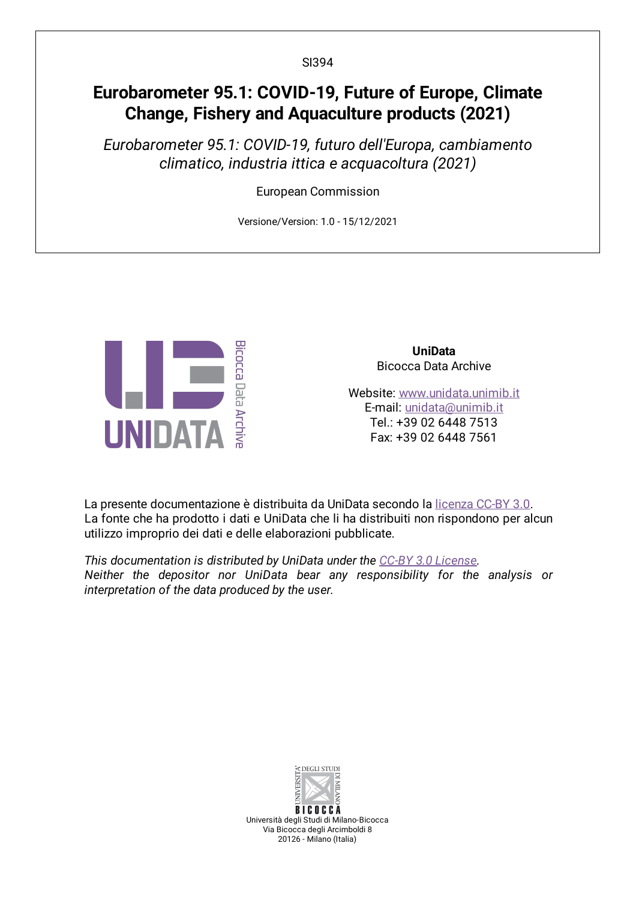SI394

# **Eurobarometer 95.1: COVID-19, Future of Europe, Climate Change, Fishery and Aquaculture products (2021)**

*Eurobarometer 95.1: COVID-19, futuro dell'Europa, cambiamento climatico, industria ittica e acquacoltura (2021)*

European Commission

Versione/Version: 1.0 - 15/12/2021



**UniData** Bicocca Data Archive

Website: [www.unidata.unimib.it](http://www.unidata.unimib.it) E-mail: [unidata@unimib.it](mailto:unidata@unimib.it) Tel.: +39 02 6448 7513 Fax: +39 02 6448 7561

La presente documentazione è distribuita da UniData secondo la [licenza](https://creativecommons.org/licenses/by/3.0/deed.it) CC-BY 3.0. La fonte che ha prodotto i dati e UniData che li ha distribuiti non rispondono per alcun utilizzo improprio dei dati e delle elaborazioni pubblicate.

*This documentation is distributed by UniData under the CC-BY 3.0 [License](https://creativecommons.org/licenses/by/3.0/). Neither the depositor nor UniData bear any responsibility for the analysis or interpretation of the data produced by the user.*



Università degli Studi di Milano-Bicocca Via Bicocca degli Arcimboldi 8 20126 - Milano (Italia)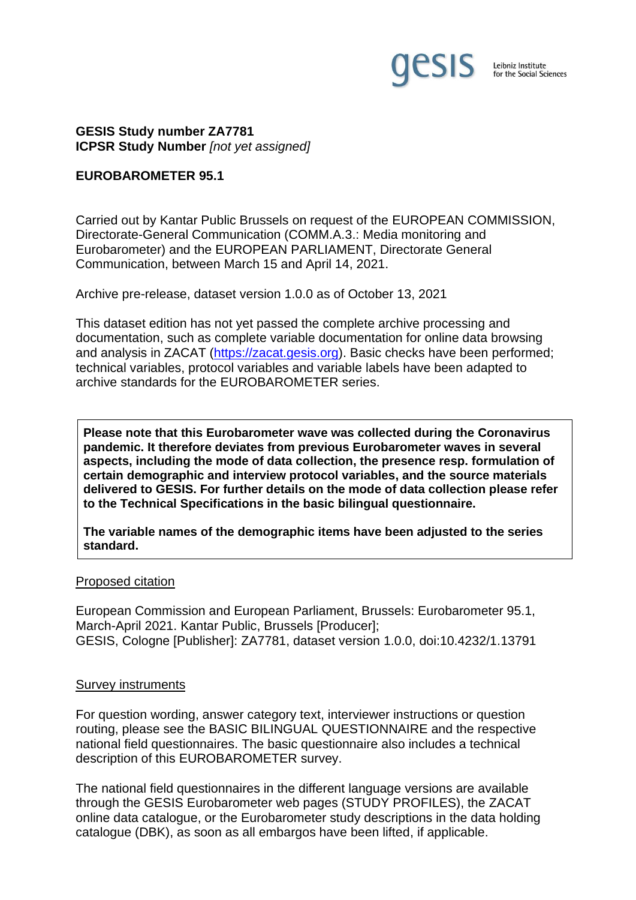

**GESIS Study number ZA7781 ICPSR Study Number** *[not yet assigned]*

### **EUROBAROMETER 95.1**

Carried out by Kantar Public Brussels on request of the EUROPEAN COMMISSION, Directorate-General Communication (COMM.A.3.: Media monitoring and Eurobarometer) and the EUROPEAN PARLIAMENT, Directorate General Communication, between March 15 and April 14, 2021.

Archive pre-release, dataset version 1.0.0 as of October 13, 2021

This dataset edition has not yet passed the complete archive processing and documentation, such as complete variable documentation for online data browsing and analysis in ZACAT [\(https://zacat.gesis.org\)](https://zacat.gesis.org/). Basic checks have been performed; technical variables, protocol variables and variable labels have been adapted to archive standards for the EUROBAROMETER series.

**Please note that this Eurobarometer wave was collected during the Coronavirus pandemic. It therefore deviates from previous Eurobarometer waves in several aspects, including the mode of data collection, the presence resp. formulation of certain demographic and interview protocol variables, and the source materials delivered to GESIS. For further details on the mode of data collection please refer to the Technical Specifications in the basic bilingual questionnaire.**

**The variable names of the demographic items have been adjusted to the series standard.**

#### Proposed citation

European Commission and European Parliament, Brussels: Eurobarometer 95.1, March-April 2021. Kantar Public, Brussels [Producer]; GESIS, Cologne [Publisher]: ZA7781, dataset version 1.0.0, doi:10.4232/1.13791

#### Survey instruments

For question wording, answer category text, interviewer instructions or question routing, please see the BASIC BILINGUAL QUESTIONNAIRE and the respective national field questionnaires. The basic questionnaire also includes a technical description of this EUROBAROMETER survey.

The national field questionnaires in the different language versions are available through the GESIS Eurobarometer web pages (STUDY PROFILES), the ZACAT online data catalogue, or the Eurobarometer study descriptions in the data holding catalogue (DBK), as soon as all embargos have been lifted, if applicable.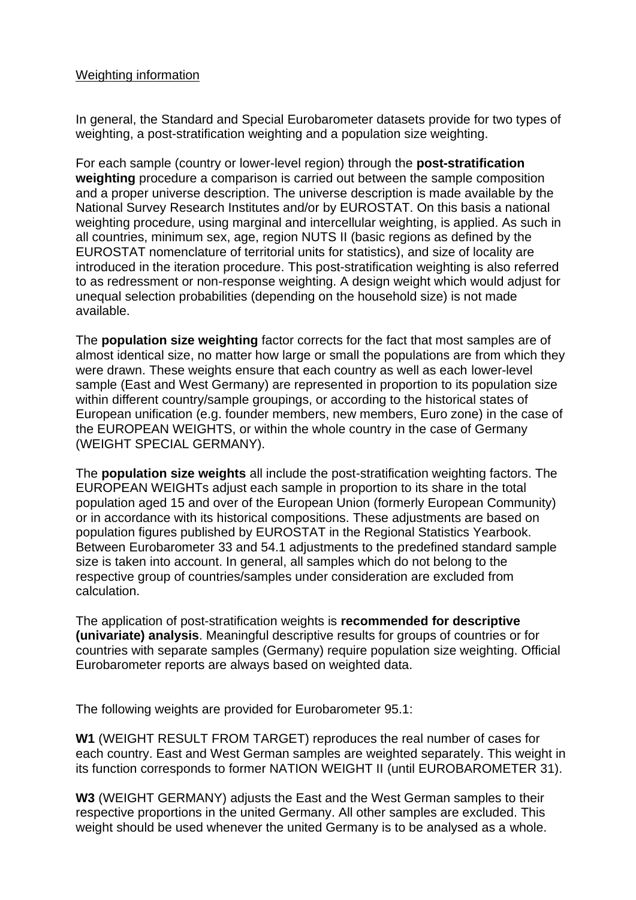## Weighting information

In general, the Standard and Special Eurobarometer datasets provide for two types of weighting, a post-stratification weighting and a population size weighting.

For each sample (country or lower-level region) through the **post-stratification weighting** procedure a comparison is carried out between the sample composition and a proper universe description. The universe description is made available by the National Survey Research Institutes and/or by EUROSTAT. On this basis a national weighting procedure, using marginal and intercellular weighting, is applied. As such in all countries, minimum sex, age, region NUTS II (basic regions as defined by the EUROSTAT nomenclature of territorial units for statistics), and size of locality are introduced in the iteration procedure. This post-stratification weighting is also referred to as redressment or non-response weighting. A design weight which would adjust for unequal selection probabilities (depending on the household size) is not made available.

The **population size weighting** factor corrects for the fact that most samples are of almost identical size, no matter how large or small the populations are from which they were drawn. These weights ensure that each country as well as each lower-level sample (East and West Germany) are represented in proportion to its population size within different country/sample groupings, or according to the historical states of European unification (e.g. founder members, new members, Euro zone) in the case of the EUROPEAN WEIGHTS, or within the whole country in the case of Germany (WEIGHT SPECIAL GERMANY).

The **population size weights** all include the post-stratification weighting factors. The EUROPEAN WEIGHTs adjust each sample in proportion to its share in the total population aged 15 and over of the European Union (formerly European Community) or in accordance with its historical compositions. These adjustments are based on population figures published by EUROSTAT in the Regional Statistics Yearbook. Between Eurobarometer 33 and 54.1 adjustments to the predefined standard sample size is taken into account. In general, all samples which do not belong to the respective group of countries/samples under consideration are excluded from calculation.

The application of post-stratification weights is **recommended for descriptive (univariate) analysis**. Meaningful descriptive results for groups of countries or for countries with separate samples (Germany) require population size weighting. Official Eurobarometer reports are always based on weighted data.

The following weights are provided for Eurobarometer 95.1:

**W1** (WEIGHT RESULT FROM TARGET) reproduces the real number of cases for each country. East and West German samples are weighted separately. This weight in its function corresponds to former NATION WEIGHT II (until EUROBAROMETER 31).

**W3** (WEIGHT GERMANY) adjusts the East and the West German samples to their respective proportions in the united Germany. All other samples are excluded. This weight should be used whenever the united Germany is to be analysed as a whole.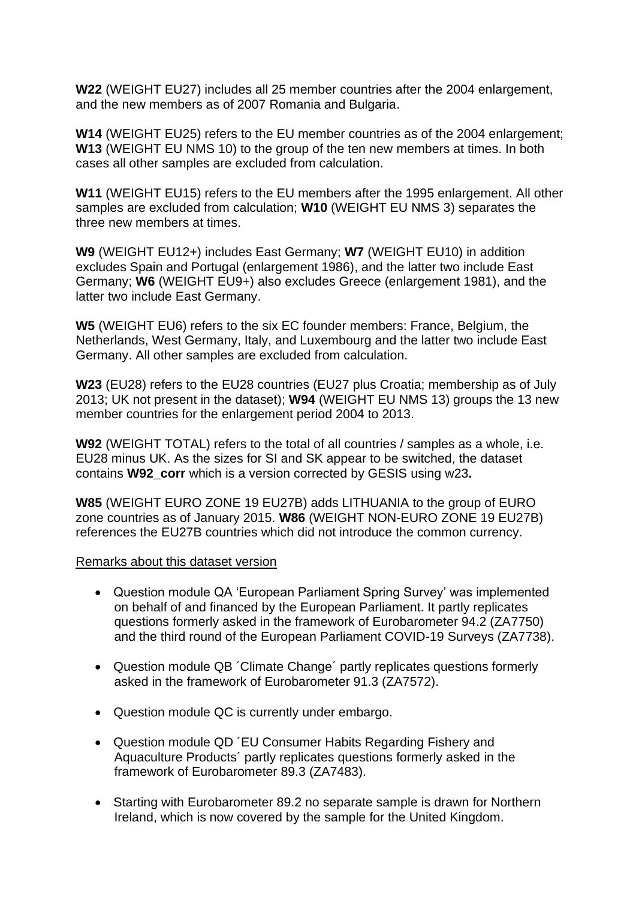**W22** (WEIGHT EU27) includes all 25 member countries after the 2004 enlargement, and the new members as of 2007 Romania and Bulgaria.

**W14** (WEIGHT EU25) refers to the EU member countries as of the 2004 enlargement; **W13** (WEIGHT EU NMS 10) to the group of the ten new members at times. In both cases all other samples are excluded from calculation.

**W11** (WEIGHT EU15) refers to the EU members after the 1995 enlargement. All other samples are excluded from calculation; **W10** (WEIGHT EU NMS 3) separates the three new members at times.

**W9** (WEIGHT EU12+) includes East Germany; **W7** (WEIGHT EU10) in addition excludes Spain and Portugal (enlargement 1986), and the latter two include East Germany; **W6** (WEIGHT EU9+) also excludes Greece (enlargement 1981), and the latter two include East Germany.

**W5** (WEIGHT EU6) refers to the six EC founder members: France, Belgium, the Netherlands, West Germany, Italy, and Luxembourg and the latter two include East Germany. All other samples are excluded from calculation.

**W23** (EU28) refers to the EU28 countries (EU27 plus Croatia; membership as of July 2013; UK not present in the dataset); **W94** (WEIGHT EU NMS 13) groups the 13 new member countries for the enlargement period 2004 to 2013.

**W92** (WEIGHT TOTAL) refers to the total of all countries / samples as a whole, i.e. EU28 minus UK. As the sizes for SI and SK appear to be switched, the dataset contains **W92\_corr** which is a version corrected by GESIS using w23**.**

**W85** (WEIGHT EURO ZONE 19 EU27B) adds LITHUANIA to the group of EURO zone countries as of January 2015. **W86** (WEIGHT NON-EURO ZONE 19 EU27B) references the EU27B countries which did not introduce the common currency.

## Remarks about this dataset version

- Question module QA 'European Parliament Spring Survey' was implemented on behalf of and financed by the European Parliament. It partly replicates questions formerly asked in the framework of Eurobarometer 94.2 (ZA7750) and the third round of the European Parliament COVID-19 Surveys (ZA7738).
- Question module QB ´Climate Change´ partly replicates questions formerly asked in the framework of Eurobarometer 91.3 (ZA7572).
- Question module QC is currently under embargo.
- Question module QD ´EU Consumer Habits Regarding Fishery and Aquaculture Products´ partly replicates questions formerly asked in the framework of Eurobarometer 89.3 (ZA7483).
- Starting with Eurobarometer 89.2 no separate sample is drawn for Northern Ireland, which is now covered by the sample for the United Kingdom.